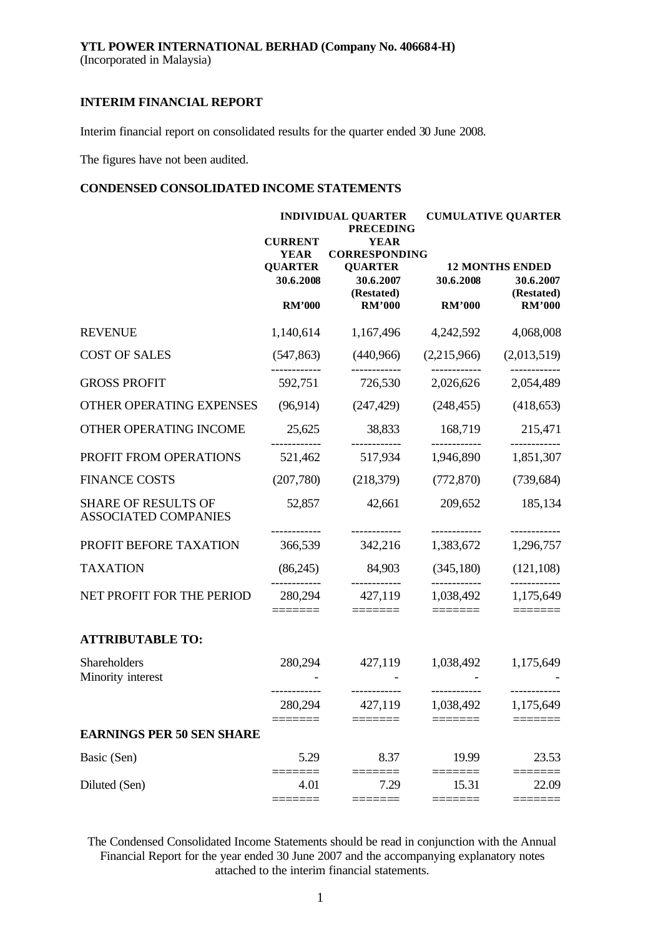Interim financial report on consolidated results for the quarter ended 30 June 2008.

The figures have not been audited.

# **CONDENSED CONSOLIDATED INCOME STATEMENTS**

|                                                    | <b>INDIVIDUAL QUARTER</b><br><b>PRECEDING</b> |                                           |                         | <b>CUMULATIVE QUARTER</b>                         |  |  |  |
|----------------------------------------------------|-----------------------------------------------|-------------------------------------------|-------------------------|---------------------------------------------------|--|--|--|
|                                                    | <b>CURRENT</b><br><b>YEAR</b>                 | <b>YEAR</b><br><b>CORRESPONDING</b>       |                         |                                                   |  |  |  |
|                                                    | <b>QUARTER</b><br>30.6.2008                   | <b>QUARTER</b><br>30.6.2007<br>(Restated) | 30.6.2008               | <b>12 MONTHS ENDED</b><br>30.6.2007<br>(Restated) |  |  |  |
|                                                    | <b>RM'000</b>                                 | <b>RM'000</b>                             | <b>RM'000</b>           | <b>RM'000</b>                                     |  |  |  |
| <b>REVENUE</b>                                     | 1,140,614                                     | 1,167,496                                 | 4,242,592               | 4,068,008                                         |  |  |  |
| <b>COST OF SALES</b>                               | (547, 863)                                    | (440,966)                                 | (2,215,966)             | (2,013,519)                                       |  |  |  |
| <b>GROSS PROFIT</b>                                | 592,751                                       | 726,530                                   | 2,026,626               | 2,054,489                                         |  |  |  |
| OTHER OPERATING EXPENSES                           | (96, 914)                                     | (247, 429)                                | (248, 455)              | (418, 653)                                        |  |  |  |
| OTHER OPERATING INCOME                             | 25,625                                        | 38,833                                    | 168,719                 | 215,471                                           |  |  |  |
| PROFIT FROM OPERATIONS                             | 521,462                                       | 517,934                                   | 1,946,890               | 1,851,307                                         |  |  |  |
| <b>FINANCE COSTS</b>                               | (207,780)                                     | (218,379)                                 | (772, 870)              | (739, 684)                                        |  |  |  |
| <b>SHARE OF RESULTS OF</b><br>ASSOCIATED COMPANIES | 52,857                                        | 42,661<br>------------                    | 209,652<br>------------ | 185,134<br>------------                           |  |  |  |
| PROFIT BEFORE TAXATION                             | 366,539                                       | 342,216                                   | 1,383,672               | 1,296,757                                         |  |  |  |
| <b>TAXATION</b>                                    | (86,245)                                      | 84,903                                    | (345, 180)              | (121, 108)                                        |  |  |  |
| NET PROFIT FOR THE PERIOD                          | 280,294                                       | 427,119<br>======                         | 1,038,492<br>=======    | ----------<br>1,175,649<br>======                 |  |  |  |
| <b>ATTRIBUTABLE TO:</b>                            |                                               |                                           |                         |                                                   |  |  |  |
| Shareholders                                       | 280,294                                       | 427,119                                   | 1,038,492               | 1,175,649                                         |  |  |  |
| Minority interest                                  |                                               | ------------                              | ------------            | ----------                                        |  |  |  |
|                                                    | 280,294                                       | 427,119                                   | 1,038,492               | 1,175,649                                         |  |  |  |
| <b>EARNINGS PER 50 SEN SHARE</b>                   |                                               |                                           |                         |                                                   |  |  |  |
| Basic (Sen)                                        | 5.29                                          | 8.37                                      | 19.99                   | 23.53                                             |  |  |  |
| Diluted (Sen)                                      | 4.01                                          | 7.29                                      | 15.31                   | 22.09                                             |  |  |  |
|                                                    |                                               |                                           |                         |                                                   |  |  |  |

The Condensed Consolidated Income Statements should be read in conjunction with the Annual Financial Report for the year ended 30 June 2007 and the accompanying explanatory notes attached to the interim financial statements.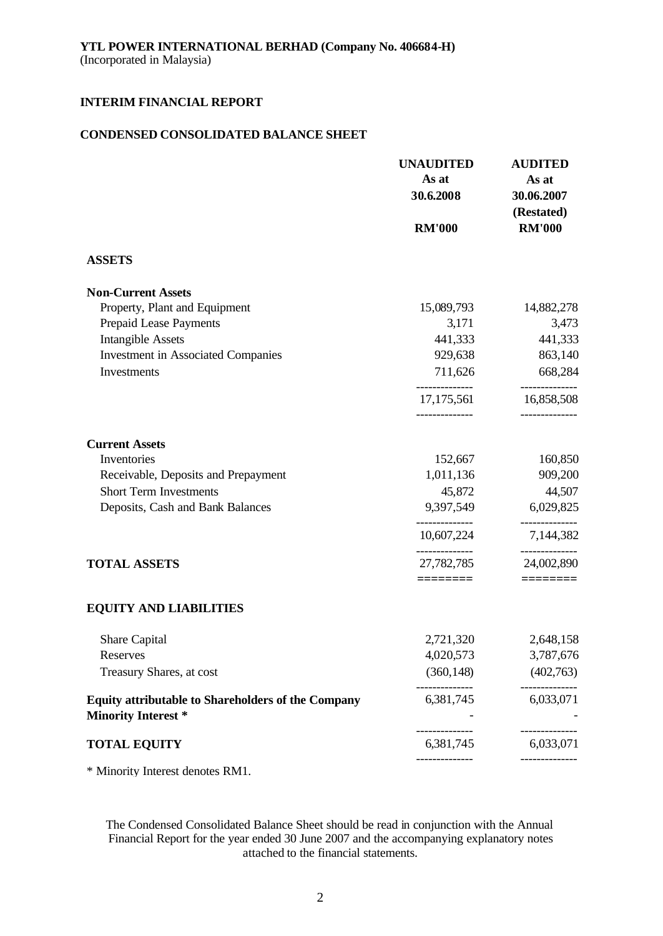### **CONDENSED CONSOLIDATED BALANCE SHEET**

|                                                                                         | <b>UNAUDITED</b><br>As at<br>30.6.2008 | <b>AUDITED</b><br>As at<br>30.06.2007 |
|-----------------------------------------------------------------------------------------|----------------------------------------|---------------------------------------|
|                                                                                         | <b>RM'000</b>                          | (Restated)<br><b>RM'000</b>           |
| <b>ASSETS</b>                                                                           |                                        |                                       |
| <b>Non-Current Assets</b>                                                               |                                        |                                       |
| Property, Plant and Equipment                                                           | 15,089,793                             | 14,882,278                            |
| <b>Prepaid Lease Payments</b>                                                           | 3,171                                  | 3,473                                 |
| <b>Intangible Assets</b>                                                                | 441,333                                | 441,333                               |
| <b>Investment in Associated Companies</b>                                               | 929,638                                | 863,140                               |
| Investments                                                                             | 711,626                                | 668,284                               |
|                                                                                         | 17, 175, 561<br>------------           | 16,858,508<br>--------------          |
| <b>Current Assets</b>                                                                   |                                        |                                       |
| Inventories                                                                             | 152,667                                | 160,850                               |
| Receivable, Deposits and Prepayment                                                     | 1,011,136                              | 909,200                               |
| <b>Short Term Investments</b>                                                           | 45,872                                 | 44,507                                |
| Deposits, Cash and Bank Balances                                                        | 9,397,549                              | 6,029,825                             |
|                                                                                         | 10,607,224                             | 7,144,382                             |
| <b>TOTAL ASSETS</b>                                                                     | 27,782,785                             | --------------<br>24,002,890          |
|                                                                                         | ========                               | ========                              |
| <b>EQUITY AND LIABILITIES</b>                                                           |                                        |                                       |
| Share Capital                                                                           | 2,721,320                              | 2,648,158                             |
| Reserves                                                                                | 4,020,573                              | 3,787,676                             |
| Treasury Shares, at cost                                                                | (360, 148)                             | (402,763)                             |
| <b>Equity attributable to Shareholders of the Company</b><br><b>Minority Interest *</b> | 6,381,745                              | 6,033,071                             |
| <b>TOTAL EQUITY</b>                                                                     | 6,381,745                              | 6,033,071                             |
|                                                                                         |                                        |                                       |

\* Minority Interest denotes RM1.

The Condensed Consolidated Balance Sheet should be read in conjunction with the Annual Financial Report for the year ended 30 June 2007 and the accompanying explanatory notes attached to the financial statements.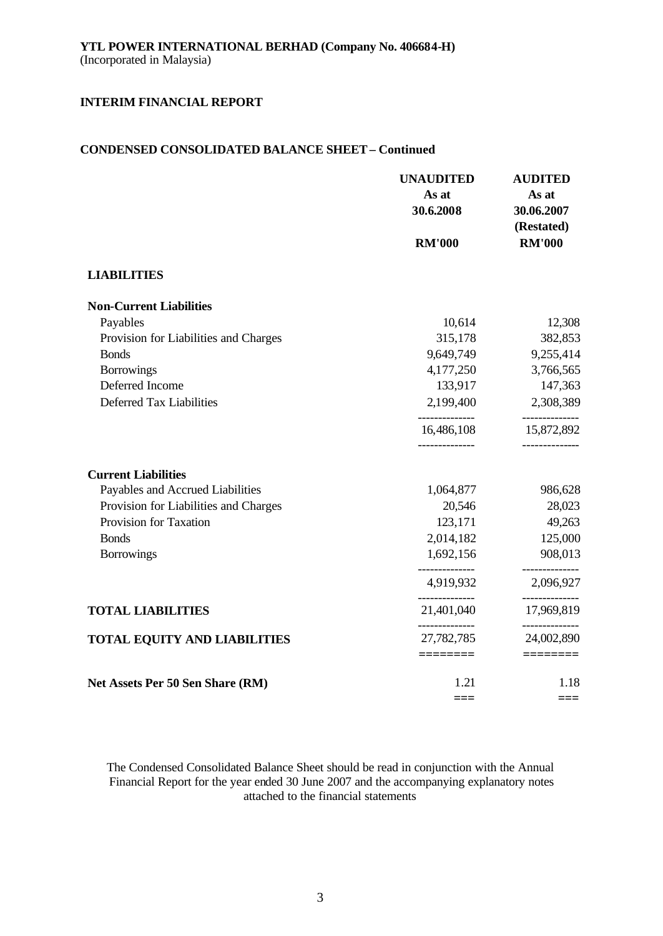## **CONDENSED CONSOLIDATED BALANCE SHEET – Continued**

|                                       | <b>UNAUDITED</b><br>As at<br>30.6.2008 | <b>AUDITED</b><br>As at<br>30.06.2007<br>(Restated) |
|---------------------------------------|----------------------------------------|-----------------------------------------------------|
|                                       | <b>RM'000</b>                          | <b>RM'000</b>                                       |
| <b>LIABILITIES</b>                    |                                        |                                                     |
| <b>Non-Current Liabilities</b>        |                                        |                                                     |
| Payables                              | 10,614                                 | 12,308                                              |
| Provision for Liabilities and Charges | 315,178                                | 382,853                                             |
| <b>Bonds</b>                          | 9,649,749                              | 9,255,414                                           |
| <b>Borrowings</b>                     | 4,177,250                              | 3,766,565                                           |
| Deferred Income                       | 133,917                                | 147,363                                             |
| Deferred Tax Liabilities              | 2,199,400                              | 2,308,389                                           |
|                                       | <br>16,486,108                         | --------------<br>15,872,892                        |
| <b>Current Liabilities</b>            |                                        |                                                     |
| Payables and Accrued Liabilities      | 1,064,877                              | 986,628                                             |
| Provision for Liabilities and Charges | 20,546                                 | 28,023                                              |
| Provision for Taxation                | 123,171                                | 49,263                                              |
| <b>Bonds</b>                          | 2,014,182                              | 125,000                                             |
| <b>Borrowings</b>                     | 1,692,156                              | 908,013                                             |
|                                       | ---------------<br>4,919,932           | ------------<br>2,096,927                           |
| <b>TOTAL LIABILITIES</b>              | . <u>.</u> .<br>21,401,040             | -------------<br>17,969,819                         |
| <b>TOTAL EQUITY AND LIABILITIES</b>   | --------------<br>27,782,785           | -------------<br>24,002,890                         |
|                                       |                                        |                                                     |
| Net Assets Per 50 Sen Share (RM)      | 1.21                                   | 1.18                                                |
|                                       |                                        | $==$                                                |

The Condensed Consolidated Balance Sheet should be read in conjunction with the Annual Financial Report for the year ended 30 June 2007 and the accompanying explanatory notes attached to the financial statements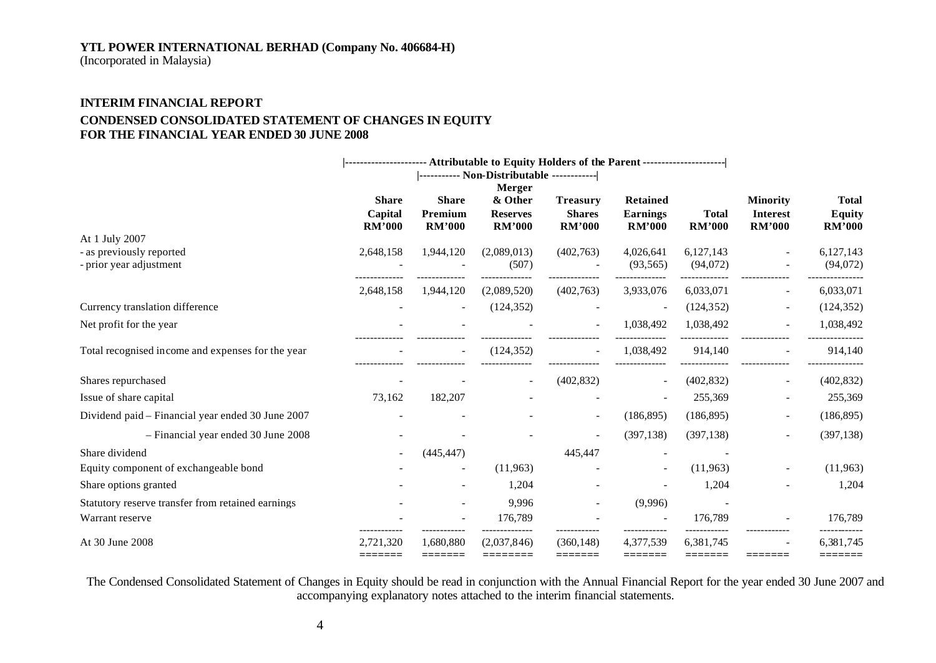### **YTL POWER INTERNATIONAL BERHAD (Company No. 406684-H)**

(Incorporated in Malaysia)

# **INTERIM FINANCIAL REPORT CONDENSED CONSOLIDATED STATEMENT OF CHANGES IN EQUITY FOR THE FINANCIAL YEAR ENDED 30 JUNE 2008**

|                                                     |                                          |                                          | --------------------- Attributable to Equity Holders of the Parent -------------------- |                                                   |                                                     |                               |                                                     |                                         |
|-----------------------------------------------------|------------------------------------------|------------------------------------------|-----------------------------------------------------------------------------------------|---------------------------------------------------|-----------------------------------------------------|-------------------------------|-----------------------------------------------------|-----------------------------------------|
|                                                     |                                          |                                          |                                                                                         |                                                   |                                                     |                               |                                                     |                                         |
|                                                     | <b>Share</b><br>Capital<br><b>RM'000</b> | <b>Share</b><br>Premium<br><b>RM'000</b> | <b>Merger</b><br>& Other<br><b>Reserves</b><br><b>RM'000</b>                            | <b>Treasury</b><br><b>Shares</b><br><b>RM'000</b> | <b>Retained</b><br><b>Earnings</b><br><b>RM'000</b> | <b>Total</b><br><b>RM'000</b> | <b>Minority</b><br><b>Interest</b><br><b>RM'000</b> | <b>Total</b><br>Equity<br><b>RM'000</b> |
| At 1 July 2007                                      |                                          |                                          |                                                                                         |                                                   |                                                     |                               |                                                     |                                         |
| - as previously reported<br>- prior year adjustment | 2,648,158                                | 1,944,120                                | (2,089,013)<br>(507)                                                                    | (402,763)                                         | 4,026,641<br>(93, 565)                              | 6,127,143<br>(94,072)         |                                                     | 6,127,143<br>(94,072)                   |
|                                                     | 2,648,158                                | 1,944,120                                | (2,089,520)                                                                             | (402,763)                                         | 3,933,076                                           | 6,033,071                     |                                                     | 6,033,071                               |
| Currency translation difference                     |                                          | $\overline{a}$                           | (124, 352)                                                                              |                                                   |                                                     | (124, 352)                    |                                                     | (124, 352)                              |
| Net profit for the year                             |                                          |                                          |                                                                                         |                                                   | 1,038,492                                           | 1,038,492                     |                                                     | 1,038,492                               |
| Total recognised income and expenses for the year   |                                          |                                          | (124, 352)                                                                              |                                                   | 1,038,492                                           | 914,140                       |                                                     | 914,140                                 |
| Shares repurchased                                  |                                          |                                          |                                                                                         | (402, 832)                                        |                                                     | (402, 832)                    |                                                     | (402, 832)                              |
| Issue of share capital                              | 73,162                                   | 182,207                                  |                                                                                         |                                                   |                                                     | 255,369                       |                                                     | 255,369                                 |
| Dividend paid – Financial year ended 30 June 2007   |                                          |                                          |                                                                                         | $\overline{\phantom{a}}$                          | (186, 895)                                          | (186, 895)                    |                                                     | (186, 895)                              |
| - Financial year ended 30 June 2008                 |                                          |                                          |                                                                                         |                                                   | (397, 138)                                          | (397, 138)                    |                                                     | (397, 138)                              |
| Share dividend                                      |                                          | (445, 447)                               |                                                                                         | 445,447                                           |                                                     |                               |                                                     |                                         |
| Equity component of exchangeable bond               |                                          | $\overline{\phantom{a}}$                 | (11,963)                                                                                |                                                   |                                                     | (11,963)                      |                                                     | (11,963)                                |
| Share options granted                               |                                          |                                          | 1,204                                                                                   |                                                   |                                                     | 1,204                         |                                                     | 1,204                                   |
| Statutory reserve transfer from retained earnings   |                                          | $\blacksquare$                           | 9,996                                                                                   |                                                   | (9,996)                                             |                               |                                                     |                                         |
| Warrant reserve                                     |                                          |                                          | 176,789                                                                                 |                                                   |                                                     | 176,789                       |                                                     | 176,789                                 |
| At 30 June 2008                                     | 2,721,320                                | 1,680,880                                | (2,037,846)                                                                             | (360, 148)                                        | 4,377,539                                           | 6,381,745                     |                                                     | 6,381,745                               |

The Condensed Consolidated Statement of Changes in Equity should be read in conjunction with the Annual Financial Report for the year ended 30 June 2007 and accompanying explanatory notes attached to the interim financial statements.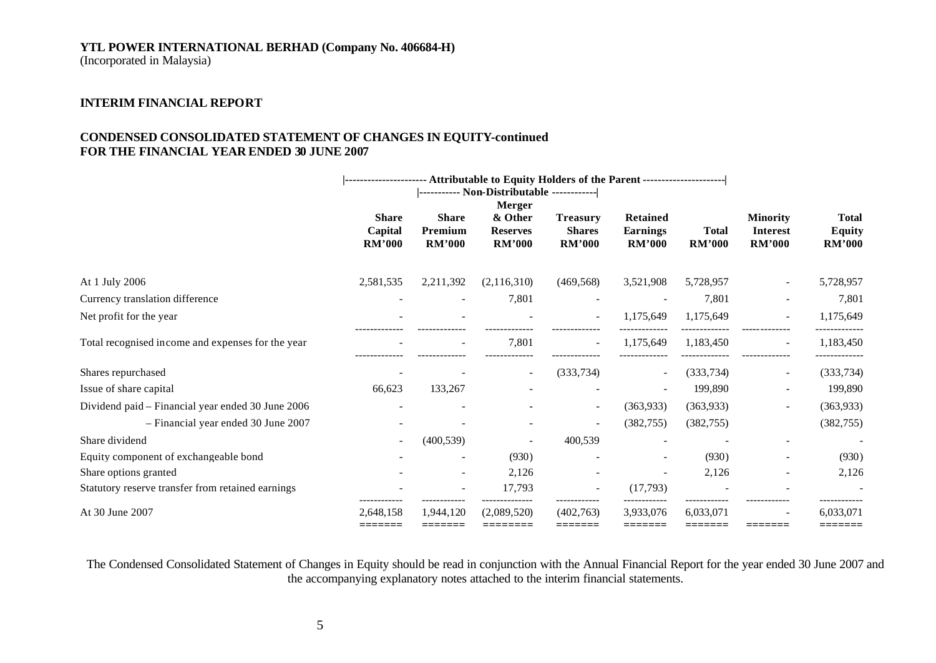## **YTL POWER INTERNATIONAL BERHAD (Company No. 406684-H)**

(Incorporated in Malaysia)

# **INTERIM FINANCIAL REPORT**

### **CONDENSED CONSOLIDATED STATEMENT OF CHANGES IN EQUITY-continued FOR THE FINANCIAL YEAR ENDED 30 JUNE 2007**

|                                                   | ---------------------- Attributable to Equity Holders of the Parent --------------------- |                                          |                                                              |                                                   |                                                     |                               |                                                     |                                                |
|---------------------------------------------------|-------------------------------------------------------------------------------------------|------------------------------------------|--------------------------------------------------------------|---------------------------------------------------|-----------------------------------------------------|-------------------------------|-----------------------------------------------------|------------------------------------------------|
|                                                   | <b>Share</b><br>Capital<br><b>RM'000</b>                                                  | <b>Share</b><br>Premium<br><b>RM'000</b> | <b>Merger</b><br>& Other<br><b>Reserves</b><br><b>RM'000</b> | <b>Treasury</b><br><b>Shares</b><br><b>RM'000</b> | <b>Retained</b><br><b>Earnings</b><br><b>RM'000</b> | <b>Total</b><br><b>RM'000</b> | <b>Minority</b><br><b>Interest</b><br><b>RM'000</b> | <b>Total</b><br><b>Equity</b><br><b>RM'000</b> |
| At 1 July 2006                                    | 2,581,535                                                                                 | 2,211,392                                | (2,116,310)                                                  | (469, 568)                                        | 3,521,908                                           | 5,728,957                     |                                                     | 5,728,957                                      |
| Currency translation difference                   |                                                                                           |                                          | 7,801                                                        |                                                   |                                                     | 7,801                         |                                                     | 7,801                                          |
| Net profit for the year                           |                                                                                           |                                          |                                                              |                                                   | 1,175,649                                           | 1,175,649                     |                                                     | 1,175,649                                      |
| Total recognised income and expenses for the year |                                                                                           |                                          | 7,801                                                        | $\overline{\phantom{a}}$                          | 1,175,649                                           | 1,183,450                     | $\overline{\phantom{a}}$                            | 1,183,450                                      |
| Shares repurchased                                |                                                                                           |                                          |                                                              | (333, 734)                                        |                                                     | (333, 734)                    | $\overline{\phantom{a}}$                            | (333, 734)                                     |
| Issue of share capital                            | 66,623                                                                                    | 133,267                                  |                                                              |                                                   |                                                     | 199,890                       |                                                     | 199,890                                        |
| Dividend paid - Financial year ended 30 June 2006 |                                                                                           |                                          |                                                              | $\sim$                                            | (363,933)                                           | (363,933)                     | $\overline{a}$                                      | (363,933)                                      |
| - Financial year ended 30 June 2007               |                                                                                           |                                          |                                                              | $\sim$                                            | (382, 755)                                          | (382, 755)                    |                                                     | (382, 755)                                     |
| Share dividend                                    |                                                                                           | (400, 539)                               |                                                              | 400,539                                           |                                                     |                               |                                                     |                                                |
| Equity component of exchangeable bond             |                                                                                           |                                          | (930)                                                        |                                                   |                                                     | (930)                         | $\overline{\phantom{0}}$                            | (930)                                          |
| Share options granted                             |                                                                                           |                                          | 2,126                                                        |                                                   |                                                     | 2,126                         |                                                     | 2,126                                          |
| Statutory reserve transfer from retained earnings |                                                                                           |                                          | 17,793                                                       |                                                   | (17,793)                                            |                               |                                                     |                                                |
| At 30 June 2007                                   | 2,648,158                                                                                 | 1,944,120<br>=======                     | (2,089,520)                                                  | (402,763)                                         | 3,933,076<br>=======                                | 6,033,071                     |                                                     | 6,033,071                                      |

The Condensed Consolidated Statement of Changes in Equity should be read in conjunction with the Annual Financial Report for the year ended 30 June 2007 and the accompanying explanatory notes attached to the interim financial statements.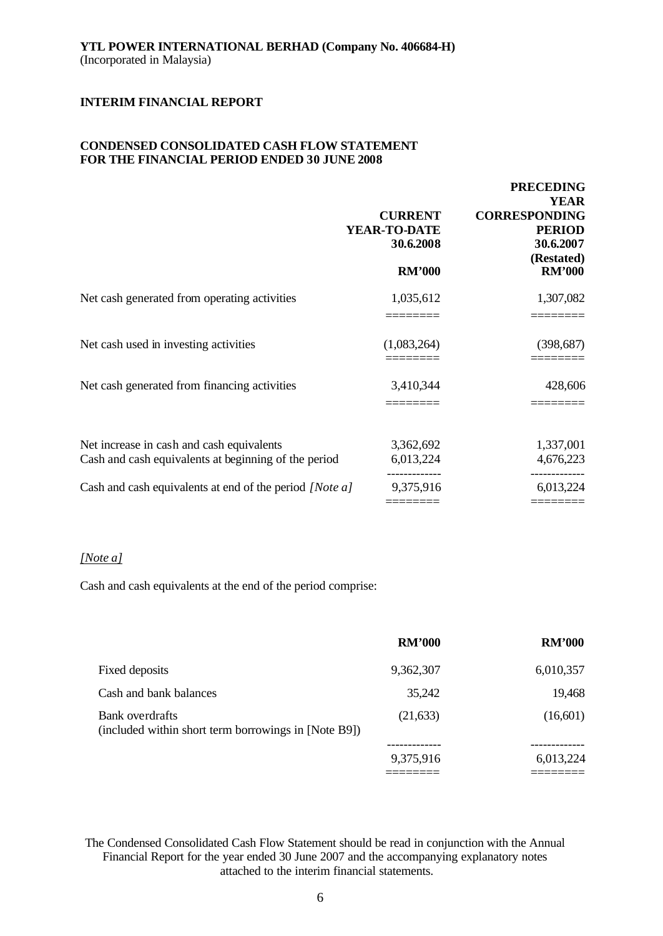## **CONDENSED CONSOLIDATED CASH FLOW STATEMENT FOR THE FINANCIAL PERIOD ENDED 30 JUNE 2008**

|                                                                                                   | <b>CURRENT</b><br>YEAR-TO-DATE<br>30.6.2008<br><b>RM'000</b> | <b>PRECEDING</b><br><b>YEAR</b><br><b>CORRESPONDING</b><br><b>PERIOD</b><br>30.6.2007<br>(Restated)<br><b>RM'000</b> |
|---------------------------------------------------------------------------------------------------|--------------------------------------------------------------|----------------------------------------------------------------------------------------------------------------------|
| Net cash generated from operating activities                                                      | 1,035,612                                                    | 1,307,082                                                                                                            |
| Net cash used in investing activities                                                             | (1,083,264)                                                  | (398, 687)                                                                                                           |
| Net cash generated from financing activities                                                      | 3,410,344                                                    | 428,606                                                                                                              |
| Net increase in cash and cash equivalents<br>Cash and cash equivalents at beginning of the period | 3,362,692<br>6,013,224                                       | 1,337,001<br>4,676,223                                                                                               |
| Cash and cash equivalents at end of the period [Note a]                                           | 9,375,916                                                    | 6,013,224                                                                                                            |

# *[Note a]*

Cash and cash equivalents at the end of the period comprise:

|                                                                         | <b>RM'000</b> | <b>RM'000</b> |
|-------------------------------------------------------------------------|---------------|---------------|
| Fixed deposits                                                          | 9,362,307     | 6,010,357     |
| Cash and bank balances                                                  | 35,242        | 19,468        |
| Bank overdrafts<br>(included within short term borrowings in [Note B9]) | (21, 633)     | (16,601)      |
|                                                                         |               |               |
|                                                                         | 9,375,916     | 6,013,224     |
|                                                                         |               |               |

The Condensed Consolidated Cash Flow Statement should be read in conjunction with the Annual Financial Report for the year ended 30 June 2007 and the accompanying explanatory notes attached to the interim financial statements.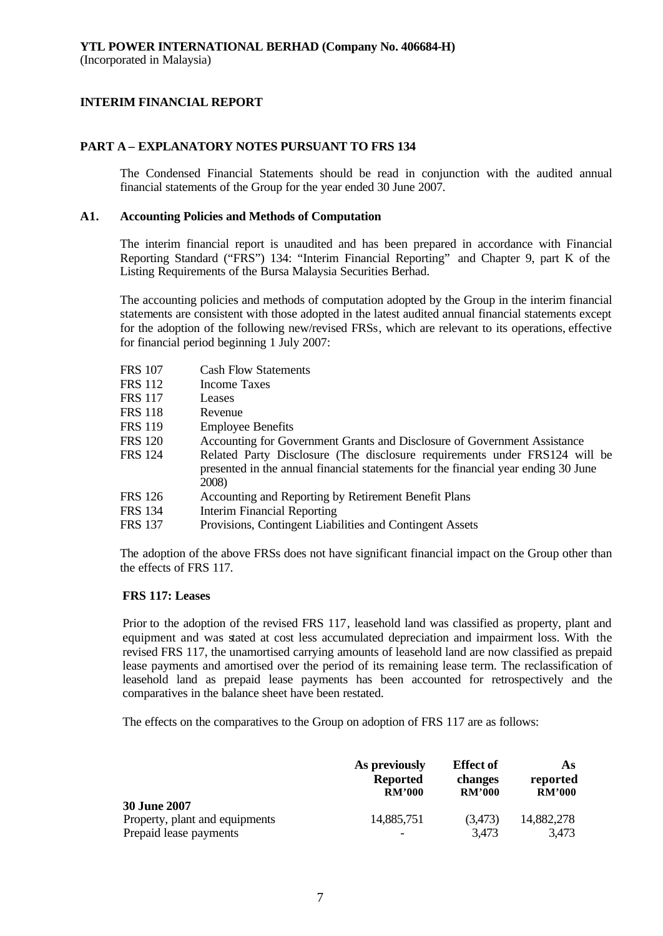#### **PART A – EXPLANATORY NOTES PURSUANT TO FRS 134**

The Condensed Financial Statements should be read in conjunction with the audited annual financial statements of the Group for the year ended 30 June 2007.

#### **A1. Accounting Policies and Methods of Computation**

The interim financial report is unaudited and has been prepared in accordance with Financial Reporting Standard ("FRS") 134: "Interim Financial Reporting" and Chapter 9, part K of the Listing Requirements of the Bursa Malaysia Securities Berhad.

The accounting policies and methods of computation adopted by the Group in the interim financial statements are consistent with those adopted in the latest audited annual financial statements except for the adoption of the following new/revised FRSs, which are relevant to its operations, effective for financial period beginning 1 July 2007:

| <b>FRS 107</b> | <b>Cash Flow Statements</b>                                                                                                                                               |
|----------------|---------------------------------------------------------------------------------------------------------------------------------------------------------------------------|
| <b>FRS 112</b> | Income Taxes                                                                                                                                                              |
| <b>FRS 117</b> | Leases                                                                                                                                                                    |
| FRS 118        | Revenue                                                                                                                                                                   |
| FRS 119        | <b>Employee Benefits</b>                                                                                                                                                  |
| FRS 120        | Accounting for Government Grants and Disclosure of Government Assistance                                                                                                  |
| FRS 124        | Related Party Disclosure (The disclosure requirements under FRS124 will be<br>presented in the annual financial statements for the financial year ending 30 June<br>2008) |
| FRS 126        | Accounting and Reporting by Retirement Benefit Plans                                                                                                                      |
| FRS 134        | Interim Financial Reporting                                                                                                                                               |
| FRS 137        | Provisions, Contingent Liabilities and Contingent Assets                                                                                                                  |
|                |                                                                                                                                                                           |

The adoption of the above FRSs does not have significant financial impact on the Group other than the effects of FRS 117.

#### **FRS 117: Leases**

Prior to the adoption of the revised FRS 117, leasehold land was classified as property, plant and equipment and was stated at cost less accumulated depreciation and impairment loss. With the revised FRS 117, the unamortised carrying amounts of leasehold land are now classified as prepaid lease payments and amortised over the period of its remaining lease term. The reclassification of leasehold land as prepaid lease payments has been accounted for retrospectively and the comparatives in the balance sheet have been restated.

The effects on the comparatives to the Group on adoption of FRS 117 are as follows:

|                                                                                 | As previously   | <b>Effect</b> of | As                  |
|---------------------------------------------------------------------------------|-----------------|------------------|---------------------|
|                                                                                 | <b>Reported</b> | changes          | reported            |
|                                                                                 | <b>RM'000</b>   | <b>RM'000</b>    | RM'000              |
| <b>30 June 2007</b><br>Property, plant and equipments<br>Prepaid lease payments | 14,885,751      | (3,473)<br>3,473 | 14,882,278<br>3,473 |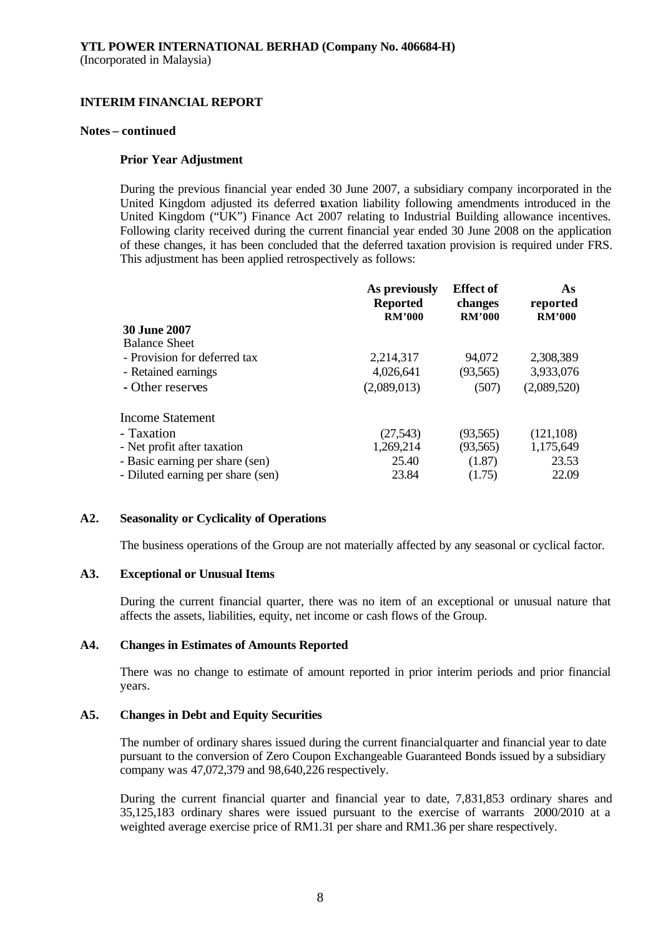#### **Notes – continued**

### **Prior Year Adjustment**

During the previous financial year ended 30 June 2007, a subsidiary company incorporated in the United Kingdom adjusted its deferred taxation liability following amendments introduced in the United Kingdom ("UK") Finance Act 2007 relating to Industrial Building allowance incentives. Following clarity received during the current financial year ended 30 June 2008 on the application of these changes, it has been concluded that the deferred taxation provision is required under FRS. This adjustment has been applied retrospectively as follows:

|                                   | As previously<br><b>Reported</b><br><b>RM'000</b> | <b>Effect</b> of<br>changes<br><b>RM'000</b> | As<br>reported<br><b>RM'000</b> |
|-----------------------------------|---------------------------------------------------|----------------------------------------------|---------------------------------|
| <b>30 June 2007</b>               |                                                   |                                              |                                 |
| <b>Balance Sheet</b>              |                                                   |                                              |                                 |
| - Provision for deferred tax      | 2,214,317                                         | 94,072                                       | 2,308,389                       |
| - Retained earnings               | 4,026,641                                         | (93, 565)                                    | 3,933,076                       |
| - Other reserves                  | (2,089,013)                                       | (507)                                        | (2,089,520)                     |
| <b>Income Statement</b>           |                                                   |                                              |                                 |
| - Taxation                        | (27, 543)                                         | (93, 565)                                    | (121, 108)                      |
| - Net profit after taxation       | 1,269,214                                         | (93, 565)                                    | 1,175,649                       |
| - Basic earning per share (sen)   | 25.40                                             | (1.87)                                       | 23.53                           |
| - Diluted earning per share (sen) | 23.84                                             | (1.75)                                       | 22.09                           |
|                                   |                                                   |                                              |                                 |

### **A2. Seasonality or Cyclicality of Operations**

The business operations of the Group are not materially affected by any seasonal or cyclical factor.

### **A3. Exceptional or Unusual Items**

During the current financial quarter, there was no item of an exceptional or unusual nature that affects the assets, liabilities, equity, net income or cash flows of the Group.

### **A4. Changes in Estimates of Amounts Reported**

There was no change to estimate of amount reported in prior interim periods and prior financial years.

### **A5. Changes in Debt and Equity Securities**

The number of ordinary shares issued during the current financial quarter and financial year to date pursuant to the conversion of Zero Coupon Exchangeable Guaranteed Bonds issued by a subsidiary company was 47,072,379 and 98,640,226 respectively.

During the current financial quarter and financial year to date, 7,831,853 ordinary shares and 35,125,183 ordinary shares were issued pursuant to the exercise of warrants 2000/2010 at a weighted average exercise price of RM1.31 per share and RM1.36 per share respectively.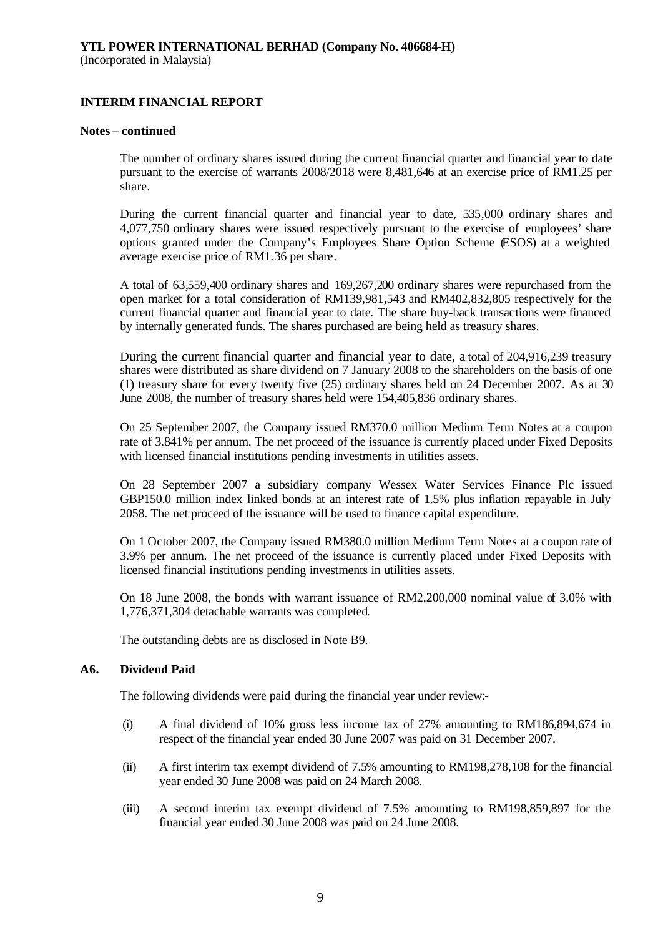#### **Notes – continued**

The number of ordinary shares issued during the current financial quarter and financial year to date pursuant to the exercise of warrants 2008/2018 were 8,481,646 at an exercise price of RM1.25 per share.

During the current financial quarter and financial year to date, 535,000 ordinary shares and 4,077,750 ordinary shares were issued respectively pursuant to the exercise of employees' share options granted under the Company's Employees Share Option Scheme (ESOS) at a weighted average exercise price of RM1.36 per share.

A total of 63,559,400 ordinary shares and 169,267,200 ordinary shares were repurchased from the open market for a total consideration of RM139,981,543 and RM402,832,805 respectively for the current financial quarter and financial year to date. The share buy-back transactions were financed by internally generated funds. The shares purchased are being held as treasury shares.

During the current financial quarter and financial year to date, a total of 204,916,239 treasury shares were distributed as share dividend on 7 January 2008 to the shareholders on the basis of one (1) treasury share for every twenty five (25) ordinary shares held on 24 December 2007. As at 30 June 2008, the number of treasury shares held were 154,405,836 ordinary shares.

On 25 September 2007, the Company issued RM370.0 million Medium Term Notes at a coupon rate of 3.841% per annum. The net proceed of the issuance is currently placed under Fixed Deposits with licensed financial institutions pending investments in utilities assets.

On 28 September 2007 a subsidiary company Wessex Water Services Finance Plc issued GBP150.0 million index linked bonds at an interest rate of 1.5% plus inflation repayable in July 2058. The net proceed of the issuance will be used to finance capital expenditure.

On 1 October 2007, the Company issued RM380.0 million Medium Term Notes at a coupon rate of 3.9% per annum. The net proceed of the issuance is currently placed under Fixed Deposits with licensed financial institutions pending investments in utilities assets.

On 18 June 2008, the bonds with warrant issuance of RM2,200,000 nominal value of 3.0% with 1,776,371,304 detachable warrants was completed.

The outstanding debts are as disclosed in Note B9.

### **A6. Dividend Paid**

The following dividends were paid during the financial year under review:-

- (i) A final dividend of 10% gross less income tax of 27% amounting to RM186,894,674 in respect of the financial year ended 30 June 2007 was paid on 31 December 2007.
- (ii) A first interim tax exempt dividend of 7.5% amounting to RM198,278,108 for the financial year ended 30 June 2008 was paid on 24 March 2008.
- (iii) A second interim tax exempt dividend of 7.5% amounting to RM198,859,897 for the financial year ended 30 June 2008 was paid on 24 June 2008.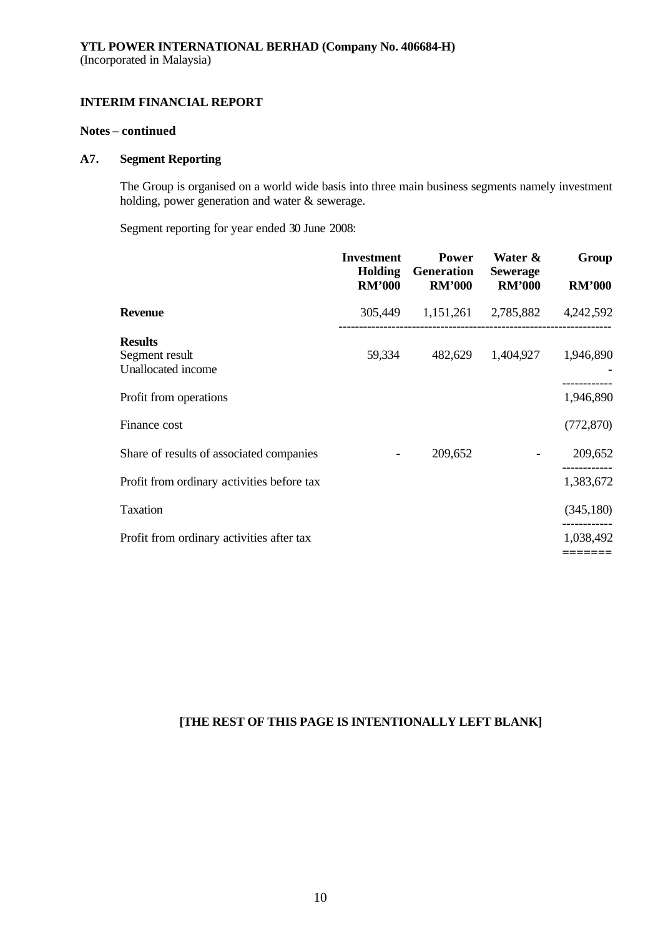## **Notes – continued**

# **A7. Segment Reporting**

The Group is organised on a world wide basis into three main business segments namely investment holding, power generation and water & sewerage.

Segment reporting for year ended 30 June 2008:

|                                                        | <b>Investment</b><br><b>Holding</b><br><b>RM'000</b> | <b>Power</b><br>Generation<br><b>RM'000</b> | Water &<br><b>Sewerage</b><br><b>RM'000</b> | Group<br><b>RM'000</b> |
|--------------------------------------------------------|------------------------------------------------------|---------------------------------------------|---------------------------------------------|------------------------|
| <b>Revenue</b>                                         |                                                      | 305,449 1,151,261 2,785,882                 |                                             | 4,242,592              |
| <b>Results</b><br>Segment result<br>Unallocated income | 59,334                                               | 482,629                                     | 1,404,927                                   | 1,946,890              |
| Profit from operations                                 |                                                      |                                             |                                             | 1,946,890              |
| Finance cost                                           |                                                      |                                             |                                             | (772, 870)             |
| Share of results of associated companies               | -                                                    | 209,652                                     |                                             | 209,652                |
| Profit from ordinary activities before tax             |                                                      |                                             |                                             | 1,383,672              |
| Taxation                                               |                                                      |                                             |                                             | (345, 180)             |
| Profit from ordinary activities after tax              |                                                      |                                             |                                             | 1,038,492              |
|                                                        |                                                      |                                             |                                             |                        |

# **[THE REST OF THIS PAGE IS INTENTIONALLY LEFT BLANK]**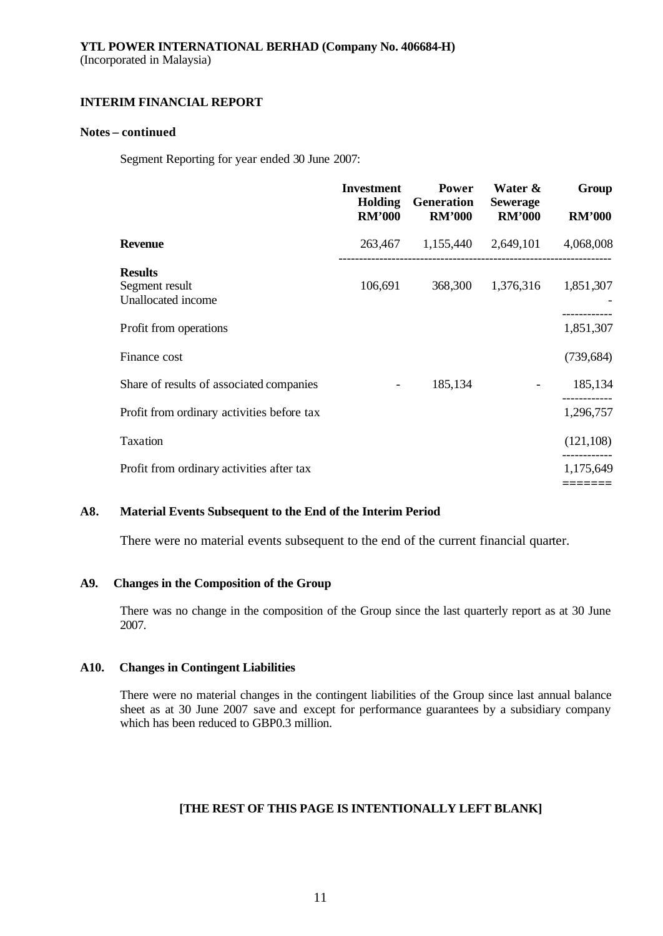#### **Notes – continued**

Segment Reporting for year ended 30 June 2007:

|                                                        | <b>Investment</b><br><b>Holding</b><br><b>RM'000</b> | <b>Power</b><br><b>Generation</b><br><b>RM'000</b> | Water &<br><b>Sewerage</b><br><b>RM'000</b> | Group<br><b>RM'000</b> |
|--------------------------------------------------------|------------------------------------------------------|----------------------------------------------------|---------------------------------------------|------------------------|
| <b>Revenue</b>                                         | 263,467                                              |                                                    | 1,155,440 2,649,101                         | 4,068,008              |
| <b>Results</b><br>Segment result<br>Unallocated income | 106,691                                              | 368,300                                            | 1,376,316                                   | 1,851,307              |
| Profit from operations                                 |                                                      |                                                    |                                             | 1,851,307              |
| Finance cost                                           |                                                      |                                                    |                                             | (739, 684)             |
| Share of results of associated companies               | $\overline{\phantom{a}}$                             | 185,134                                            |                                             | 185,134                |
| Profit from ordinary activities before tax             |                                                      |                                                    |                                             | 1,296,757              |
| Taxation                                               |                                                      |                                                    |                                             | (121, 108)             |
| Profit from ordinary activities after tax              |                                                      |                                                    |                                             | 1,175,649              |
|                                                        |                                                      |                                                    |                                             |                        |

### **A8. Material Events Subsequent to the End of the Interim Period**

There were no material events subsequent to the end of the current financial quarter.

### **A9. Changes in the Composition of the Group**

There was no change in the composition of the Group since the last quarterly report as at 30 June 2007.

### **A10. Changes in Contingent Liabilities**

There were no material changes in the contingent liabilities of the Group since last annual balance sheet as at 30 June 2007 save and except for performance guarantees by a subsidiary company which has been reduced to GBP0.3 million.

### **[THE REST OF THIS PAGE IS INTENTIONALLY LEFT BLANK]**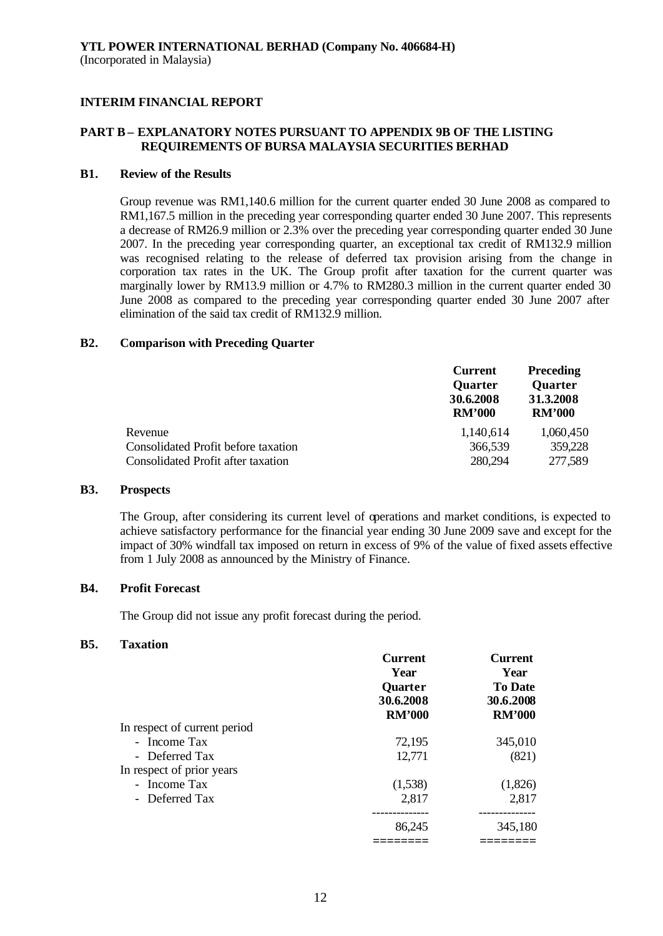# **PART B – EXPLANATORY NOTES PURSUANT TO APPENDIX 9B OF THE LISTING REQUIREMENTS OF BURSA MALAYSIA SECURITIES BERHAD**

#### **B1. Review of the Results**

Group revenue was RM1,140.6 million for the current quarter ended 30 June 2008 as compared to RM1,167.5 million in the preceding year corresponding quarter ended 30 June 2007. This represents a decrease of RM26.9 million or 2.3% over the preceding year corresponding quarter ended 30 June 2007. In the preceding year corresponding quarter, an exceptional tax credit of RM132.9 million was recognised relating to the release of deferred tax provision arising from the change in corporation tax rates in the UK. The Group profit after taxation for the current quarter was marginally lower by RM13.9 million or 4.7% to RM280.3 million in the current quarter ended 30 June 2008 as compared to the preceding year corresponding quarter ended 30 June 2007 after elimination of the said tax credit of RM132.9 million.

#### **B2. Comparison with Preceding Quarter**

|                                     | <b>Preceding</b><br><b>Current</b><br><b>Quarter</b><br><b>Quarter</b><br>30.6.2008<br>31.3.2008 |               |
|-------------------------------------|--------------------------------------------------------------------------------------------------|---------------|
|                                     | <b>RM'000</b>                                                                                    | <b>RM'000</b> |
| Revenue                             | 1,140,614                                                                                        | 1,060,450     |
| Consolidated Profit before taxation | 366,539                                                                                          | 359,228       |
| Consolidated Profit after taxation  | 280,294                                                                                          | 277,589       |

#### **B3. Prospects**

The Group, after considering its current level of operations and market conditions, is expected to achieve satisfactory performance for the financial year ending 30 June 2009 save and except for the impact of 30% windfall tax imposed on return in excess of 9% of the value of fixed assets effective from 1 July 2008 as announced by the Ministry of Finance.

### **B4. Profit Forecast**

The Group did not issue any profit forecast during the period.

#### **B5. Taxation**

|                              | <b>Current</b><br>Year<br><b>Quarter</b> | <b>Current</b><br>Year<br><b>To Date</b> |
|------------------------------|------------------------------------------|------------------------------------------|
|                              |                                          |                                          |
|                              | 30.6.2008<br><b>RM'000</b>               | 30.6.2008<br><b>RM'000</b>               |
| In respect of current period |                                          |                                          |
| - Income Tax                 | 72,195                                   | 345,010                                  |
| - Deferred Tax               | 12,771                                   | (821)                                    |
| In respect of prior years    |                                          |                                          |
| - Income Tax                 | (1,538)                                  | (1,826)                                  |
| - Deferred Tax               | 2,817                                    | 2,817                                    |
|                              |                                          | ------------                             |
|                              | 86,245                                   | 345,180                                  |
|                              |                                          |                                          |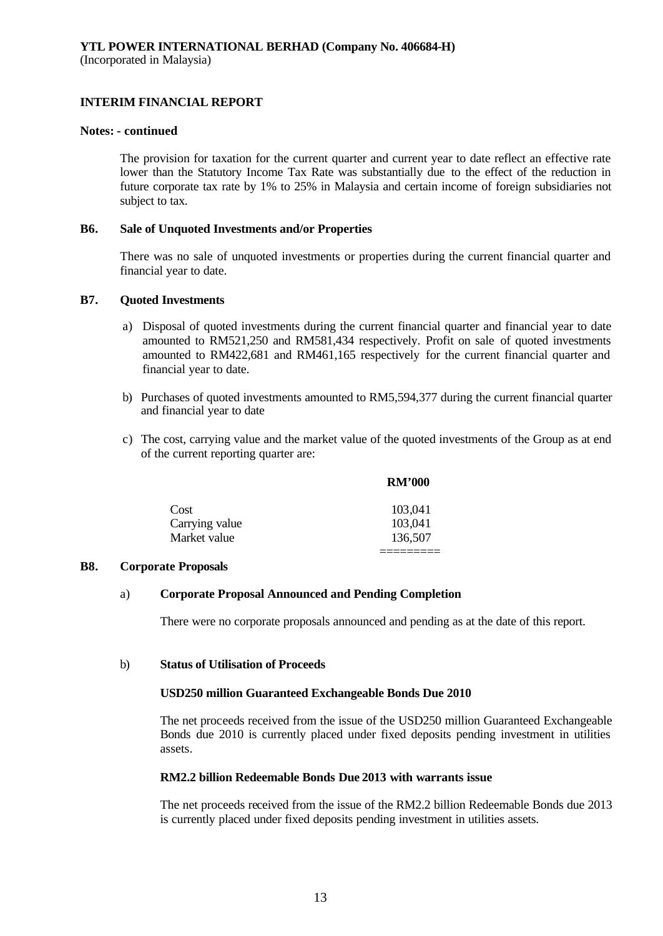(Incorporated in Malaysia)

## **INTERIM FINANCIAL REPORT**

## **Notes: - continued**

The provision for taxation for the current quarter and current year to date reflect an effective rate lower than the Statutory Income Tax Rate was substantially due to the effect of the reduction in future corporate tax rate by 1% to 25% in Malaysia and certain income of foreign subsidiaries not subject to tax.

#### **B6. Sale of Unquoted Investments and/or Properties**

There was no sale of unquoted investments or properties during the current financial quarter and financial year to date.

#### **B7. Quoted Investments**

- a) Disposal of quoted investments during the current financial quarter and financial year to date amounted to RM521,250 and RM581,434 respectively. Profit on sale of quoted investments amounted to RM422,681 and RM461,165 respectively for the current financial quarter and financial year to date.
- b) Purchases of quoted investments amounted to RM5,594,377 during the current financial quarter and financial year to date
- c) The cost, carrying value and the market value of the quoted investments of the Group as at end of the current reporting quarter are:

|                | <b>RM'000</b> |
|----------------|---------------|
| Cost           | 103,041       |
| Carrying value | 103,041       |
| Market value   | 136,507       |
|                |               |

#### **B8. Corporate Proposals**

### a) **Corporate Proposal Announced and Pending Completion**

There were no corporate proposals announced and pending as at the date of this report.

#### b) **Status of Utilisation of Proceeds**

### **USD250 million Guaranteed Exchangeable Bonds Due 2010**

The net proceeds received from the issue of the USD250 million Guaranteed Exchangeable Bonds due 2010 is currently placed under fixed deposits pending investment in utilities assets.

#### **RM2.2 billion Redeemable Bonds Due 2013 with warrants issue**

The net proceeds received from the issue of the RM2.2 billion Redeemable Bonds due 2013 is currently placed under fixed deposits pending investment in utilities assets.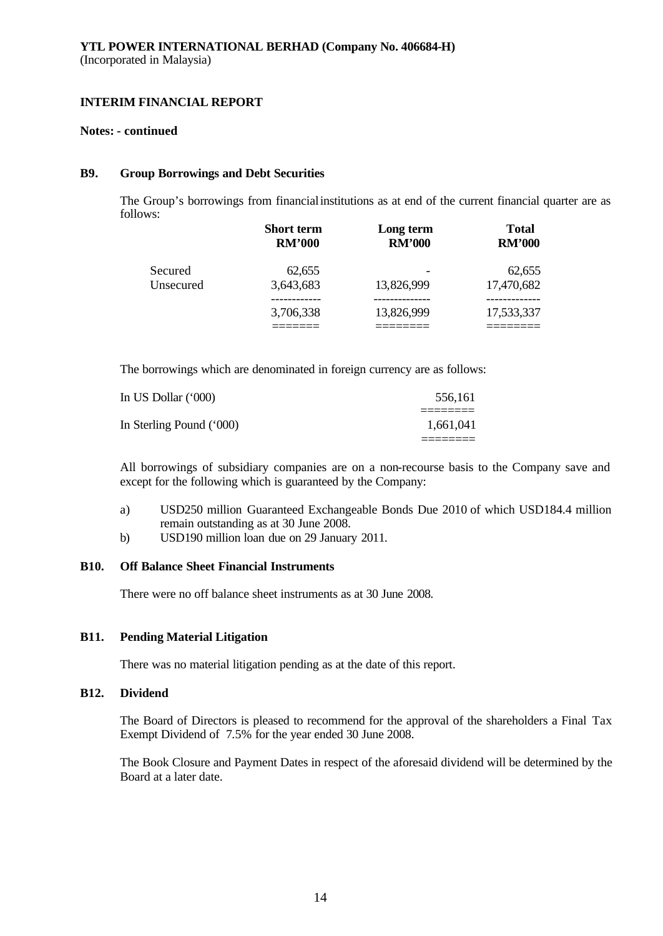#### **Notes: - continued**

#### **B9. Group Borrowings and Debt Securities**

The Group's borrowings from financial institutions as at end of the current financial quarter are as follows:

|           | <b>Short term</b> | Long term     | <b>Total</b>  |
|-----------|-------------------|---------------|---------------|
|           | <b>RM'000</b>     | <b>RM'000</b> | <b>RM'000</b> |
| Secured   | 62,655            | 13,826,999    | 62,655        |
| Unsecured | 3,643,683         |               | 17,470,682    |
|           | 3,706,338         | 13,826,999    | 17,533,337    |

The borrowings which are denominated in foreign currency are as follows:

| In US Dollar (*000)      | 556.161   |
|--------------------------|-----------|
| In Sterling Pound ('000) | 1.661.041 |
|                          |           |

All borrowings of subsidiary companies are on a non-recourse basis to the Company save and except for the following which is guaranteed by the Company:

- a) USD250 million Guaranteed Exchangeable Bonds Due 2010 of which USD184.4 million remain outstanding as at 30 June 2008.
- b) USD190 million loan due on 29 January 2011.

# **B10. Off Balance Sheet Financial Instruments**

There were no off balance sheet instruments as at 30 June 2008.

### **B11. Pending Material Litigation**

There was no material litigation pending as at the date of this report.

### **B12. Dividend**

The Board of Directors is pleased to recommend for the approval of the shareholders a Final Tax Exempt Dividend of 7.5% for the year ended 30 June 2008.

The Book Closure and Payment Dates in respect of the aforesaid dividend will be determined by the Board at a later date.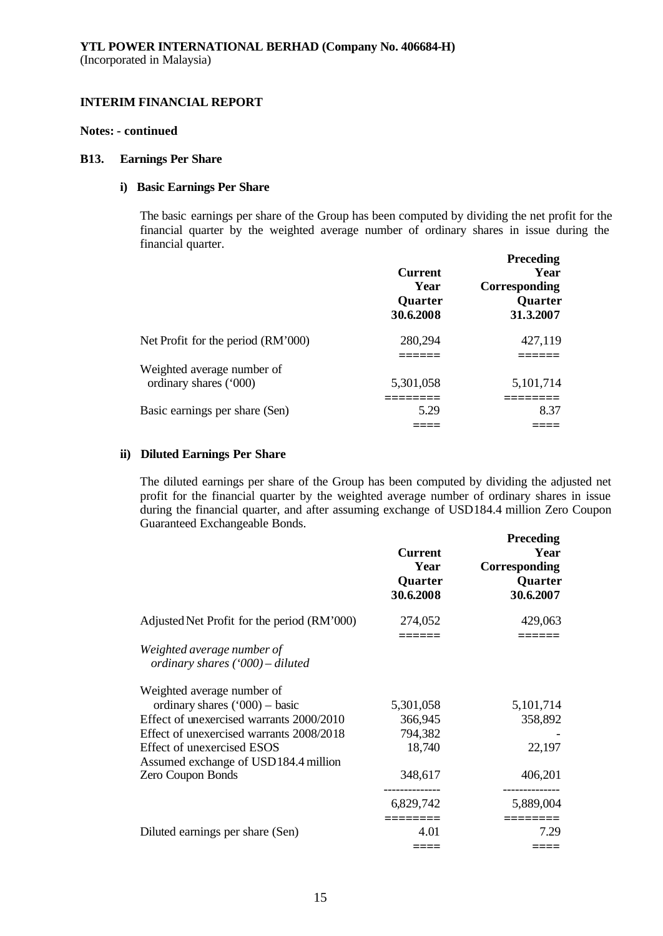#### **Notes: - continued**

#### **B13. Earnings Per Share**

# **i) Basic Earnings Per Share**

The basic earnings per share of the Group has been computed by dividing the net profit for the financial quarter by the weighted average number of ordinary shares in issue during the financial quarter.

|                                    | <b>Current</b><br>Year<br>Quarter<br>30.6.2008 | <b>Preceding</b><br>Year<br>Corresponding<br>Quarter<br>31.3.2007 |
|------------------------------------|------------------------------------------------|-------------------------------------------------------------------|
| Net Profit for the period (RM'000) | 280,294                                        | 427,119                                                           |
| Weighted average number of         |                                                |                                                                   |
| ordinary shares ('000)             | 5,301,058                                      | 5,101,714                                                         |
| Basic earnings per share (Sen)     | 5.29                                           | 8.37                                                              |
|                                    |                                                |                                                                   |

#### **ii) Diluted Earnings Per Share**

The diluted earnings per share of the Group has been computed by dividing the adjusted net profit for the financial quarter by the weighted average number of ordinary shares in issue during the financial quarter, and after assuming exchange of USD184.4 million Zero Coupon Guaranteed Exchangeable Bonds.

|                                                                | <b>Current</b><br>Year<br>Quarter<br>30.6.2008 | <b>Preceding</b><br>Year<br>Corresponding<br>Quarter<br>30.6.2007 |
|----------------------------------------------------------------|------------------------------------------------|-------------------------------------------------------------------|
| Adjusted Net Profit for the period (RM'000)                    | 274,052                                        | 429,063                                                           |
| Weighted average number of<br>ordinary shares ('000) – diluted |                                                |                                                                   |
| Weighted average number of                                     |                                                |                                                                   |
| ordinary shares $('000)$ - basic                               | 5,301,058                                      | 5,101,714                                                         |
| Effect of unexercised warrants 2000/2010                       | 366,945                                        | 358,892                                                           |
| Effect of unexercised warrants 2008/2018                       | 794,382                                        |                                                                   |
| Effect of unexercised ESOS                                     | 18,740                                         | 22,197                                                            |
| Assumed exchange of USD184.4 million                           |                                                |                                                                   |
| Zero Coupon Bonds                                              | 348,617                                        | 406,201                                                           |
|                                                                | 6,829,742                                      | ---------<br>5,889,004                                            |
| Diluted earnings per share (Sen)                               | 4.01                                           | 7.29                                                              |
|                                                                |                                                |                                                                   |
|                                                                |                                                |                                                                   |